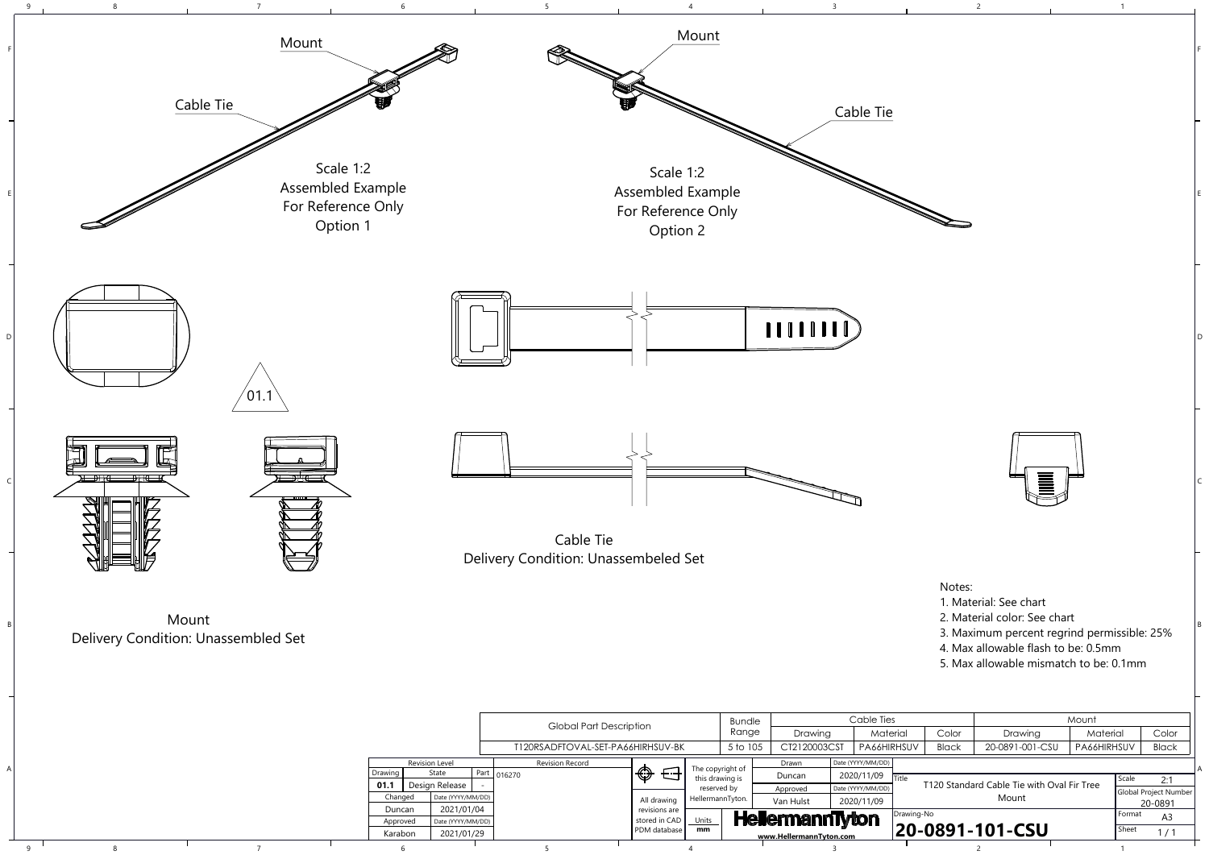|              | Mount           |             |              |  |  |  |  |  |
|--------------|-----------------|-------------|--------------|--|--|--|--|--|
| Color        | Drawing         | Material    | Color        |  |  |  |  |  |
| <b>Black</b> | 20-0891-001-CSU | PA66HIRHSUV | <b>Black</b> |  |  |  |  |  |
|              |                 |             |              |  |  |  |  |  |
|              |                 | Scale       | 7.1          |  |  |  |  |  |

B

C

D

E

F



8 and  $\begin{array}{cccccccccccccc} 8 & 6 & 10 & 5 & 10 & 3 & 3 & 2 \end{array}$ 

 $\mathsf{q}$ 



| พแน เ    | J เผ เ⊂          |                   | $1$ art $0$ 162/0 | ⋓             | this drawing is  | Duncan                  | 2020/11/09        | ` I⊤itle |                                            | Scale    |                          |
|----------|------------------|-------------------|-------------------|---------------|------------------|-------------------------|-------------------|----------|--------------------------------------------|----------|--------------------------|
|          | Desian Release I |                   |                   |               | reserved by      | Approved                | Date (YYYY/MM/DD) |          | T120 Standard Cable Tie with Oval Fir Tree |          | 2:1                      |
|          |                  |                   |                   |               |                  |                         |                   |          |                                            |          | Global Project Number    |
| Changed  |                  | Date (YYYY/MM/DD) |                   | All drawing   | HellermannTyton. | Van Hulst               | 2020/11/09        |          | Mount                                      |          | 20-0891                  |
| Duncan   |                  | 2021/01/04        |                   | revisions are |                  |                         |                   |          | <b>IDrawing-No</b>                         | l Format |                          |
| Approved |                  | Date (YYYY/MM/DD) |                   | stored in CAD | Units            | <b>HellermannTyton</b>  |                   |          |                                            |          | A <sub>3</sub>           |
| Karabon  |                  | 2021/01/29        |                   | PDM database  | mm               |                         |                   |          | 20-0891-101-CSU                            | Sheet    | $\overline{\phantom{0}}$ |
|          |                  |                   |                   |               |                  | www.HellermannTyton.com |                   |          |                                            |          |                          |
|          |                  |                   |                   |               |                  |                         |                   |          |                                            |          |                          |

## Notes:

- 1. Material: See chart
- 2. Material color: See chart
- 3. Maximum percent regrind permissible: 25%
- 4. Max allowable flash to be: 0.5mm
- 5. Max allowable mismatch to be: 0.1mm